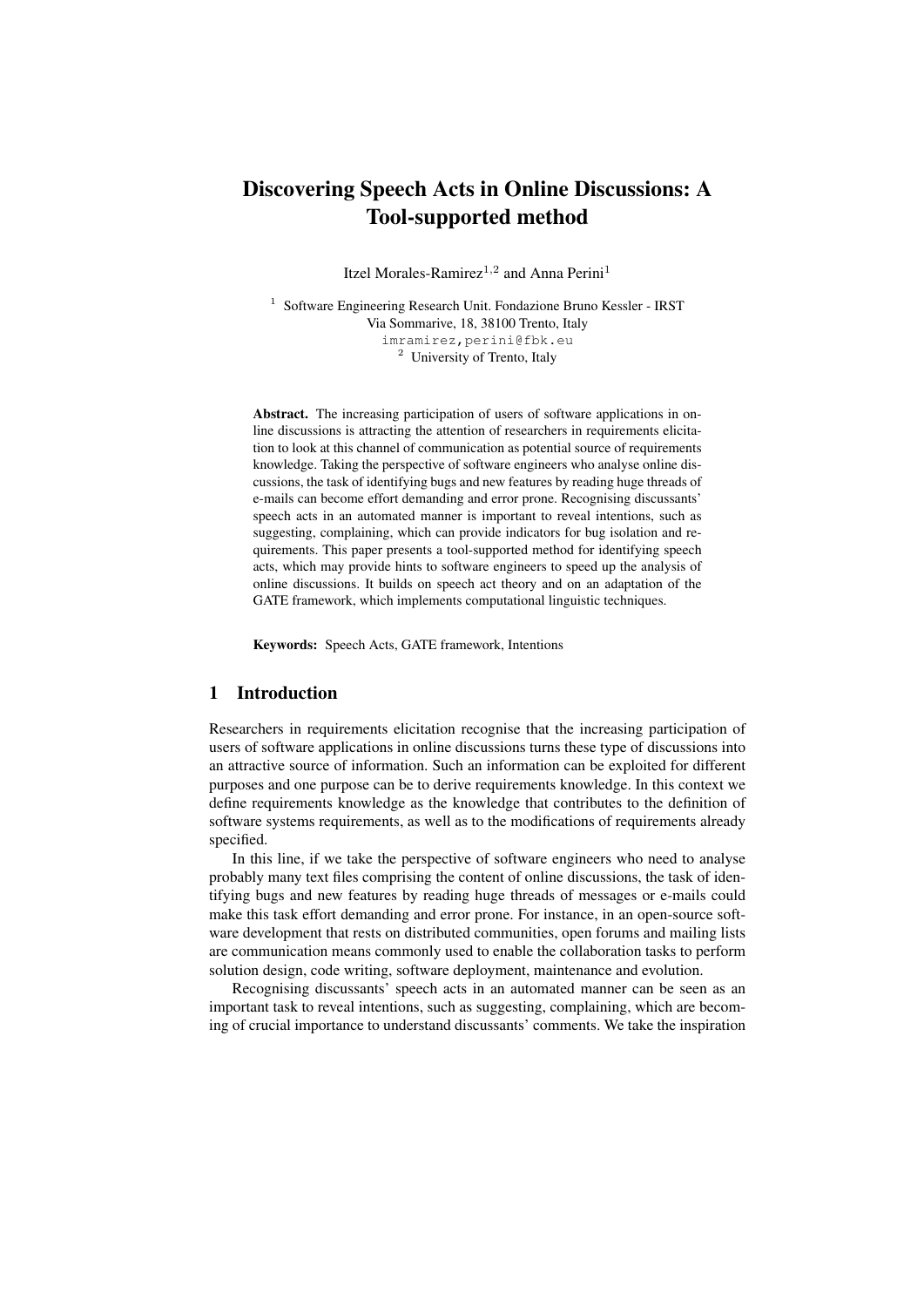# Discovering Speech Acts in Online Discussions: A Tool-supported method

Itzel Morales-Ramirez<sup>1,2</sup> and Anna Perini<sup>1</sup>

<sup>1</sup> Software Engineering Research Unit. Fondazione Bruno Kessler - IRST Via Sommarive, 18, 38100 Trento, Italy imramirez,perini@fbk.eu <sup>2</sup> University of Trento, Italy

Abstract. The increasing participation of users of software applications in online discussions is attracting the attention of researchers in requirements elicitation to look at this channel of communication as potential source of requirements knowledge. Taking the perspective of software engineers who analyse online discussions, the task of identifying bugs and new features by reading huge threads of e-mails can become effort demanding and error prone. Recognising discussants' speech acts in an automated manner is important to reveal intentions, such as suggesting, complaining, which can provide indicators for bug isolation and requirements. This paper presents a tool-supported method for identifying speech acts, which may provide hints to software engineers to speed up the analysis of online discussions. It builds on speech act theory and on an adaptation of the GATE framework, which implements computational linguistic techniques.

Keywords: Speech Acts, GATE framework, Intentions

# 1 Introduction

Researchers in requirements elicitation recognise that the increasing participation of users of software applications in online discussions turns these type of discussions into an attractive source of information. Such an information can be exploited for different purposes and one purpose can be to derive requirements knowledge. In this context we define requirements knowledge as the knowledge that contributes to the definition of software systems requirements, as well as to the modifications of requirements already specified.

In this line, if we take the perspective of software engineers who need to analyse probably many text files comprising the content of online discussions, the task of identifying bugs and new features by reading huge threads of messages or e-mails could make this task effort demanding and error prone. For instance, in an open-source software development that rests on distributed communities, open forums and mailing lists are communication means commonly used to enable the collaboration tasks to perform solution design, code writing, software deployment, maintenance and evolution.

Recognising discussants' speech acts in an automated manner can be seen as an important task to reveal intentions, such as suggesting, complaining, which are becoming of crucial importance to understand discussants' comments. We take the inspiration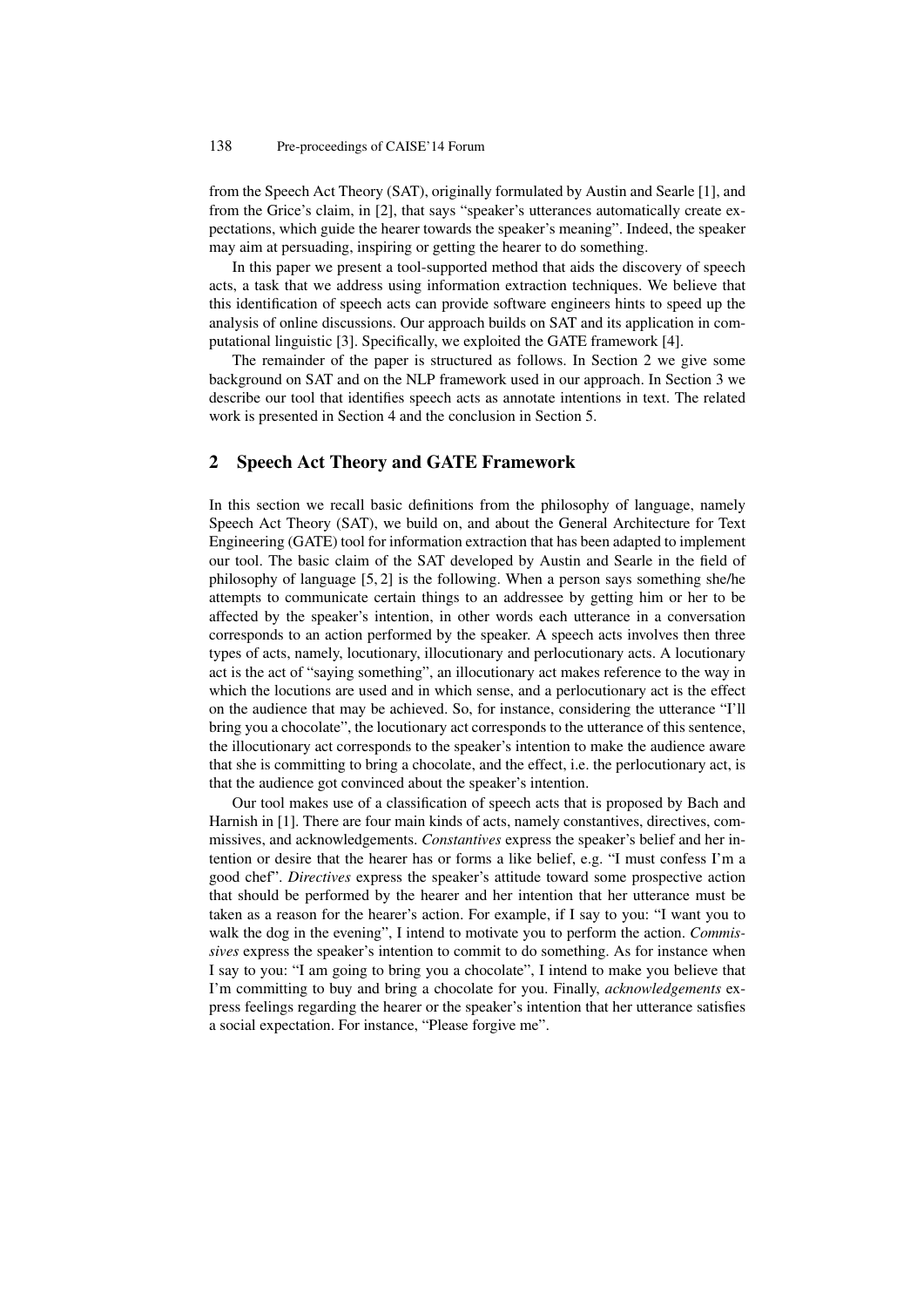from the Speech Act Theory (SAT), originally formulated by Austin and Searle [1], and from the Grice's claim, in [2], that says "speaker's utterances automatically create expectations, which guide the hearer towards the speaker's meaning". Indeed, the speaker may aim at persuading, inspiring or getting the hearer to do something.

In this paper we present a tool-supported method that aids the discovery of speech acts, a task that we address using information extraction techniques. We believe that this identification of speech acts can provide software engineers hints to speed up the analysis of online discussions. Our approach builds on SAT and its application in computational linguistic [3]. Specifically, we exploited the GATE framework [4].

The remainder of the paper is structured as follows. In Section 2 we give some background on SAT and on the NLP framework used in our approach. In Section 3 we describe our tool that identifies speech acts as annotate intentions in text. The related work is presented in Section 4 and the conclusion in Section 5.

### 2 Speech Act Theory and GATE Framework

In this section we recall basic definitions from the philosophy of language, namely Speech Act Theory (SAT), we build on, and about the General Architecture for Text Engineering (GATE) tool for information extraction that has been adapted to implement our tool. The basic claim of the SAT developed by Austin and Searle in the field of philosophy of language [5, 2] is the following. When a person says something she/he attempts to communicate certain things to an addressee by getting him or her to be affected by the speaker's intention, in other words each utterance in a conversation corresponds to an action performed by the speaker. A speech acts involves then three types of acts, namely, locutionary, illocutionary and perlocutionary acts. A locutionary act is the act of "saying something", an illocutionary act makes reference to the way in which the locutions are used and in which sense, and a perlocutionary act is the effect on the audience that may be achieved. So, for instance, considering the utterance "I'll bring you a chocolate", the locutionary act corresponds to the utterance of this sentence, the illocutionary act corresponds to the speaker's intention to make the audience aware that she is committing to bring a chocolate, and the effect, i.e. the perlocutionary act, is that the audience got convinced about the speaker's intention.

Our tool makes use of a classification of speech acts that is proposed by Bach and Harnish in [1]. There are four main kinds of acts, namely constantives, directives, commissives, and acknowledgements. *Constantives* express the speaker's belief and her intention or desire that the hearer has or forms a like belief, e.g. "I must confess I'm a good chef". *Directives* express the speaker's attitude toward some prospective action that should be performed by the hearer and her intention that her utterance must be taken as a reason for the hearer's action. For example, if I say to you: "I want you to walk the dog in the evening", I intend to motivate you to perform the action. *Commissives* express the speaker's intention to commit to do something. As for instance when I say to you: "I am going to bring you a chocolate", I intend to make you believe that I'm committing to buy and bring a chocolate for you. Finally, *acknowledgements* express feelings regarding the hearer or the speaker's intention that her utterance satisfies a social expectation. For instance, "Please forgive me".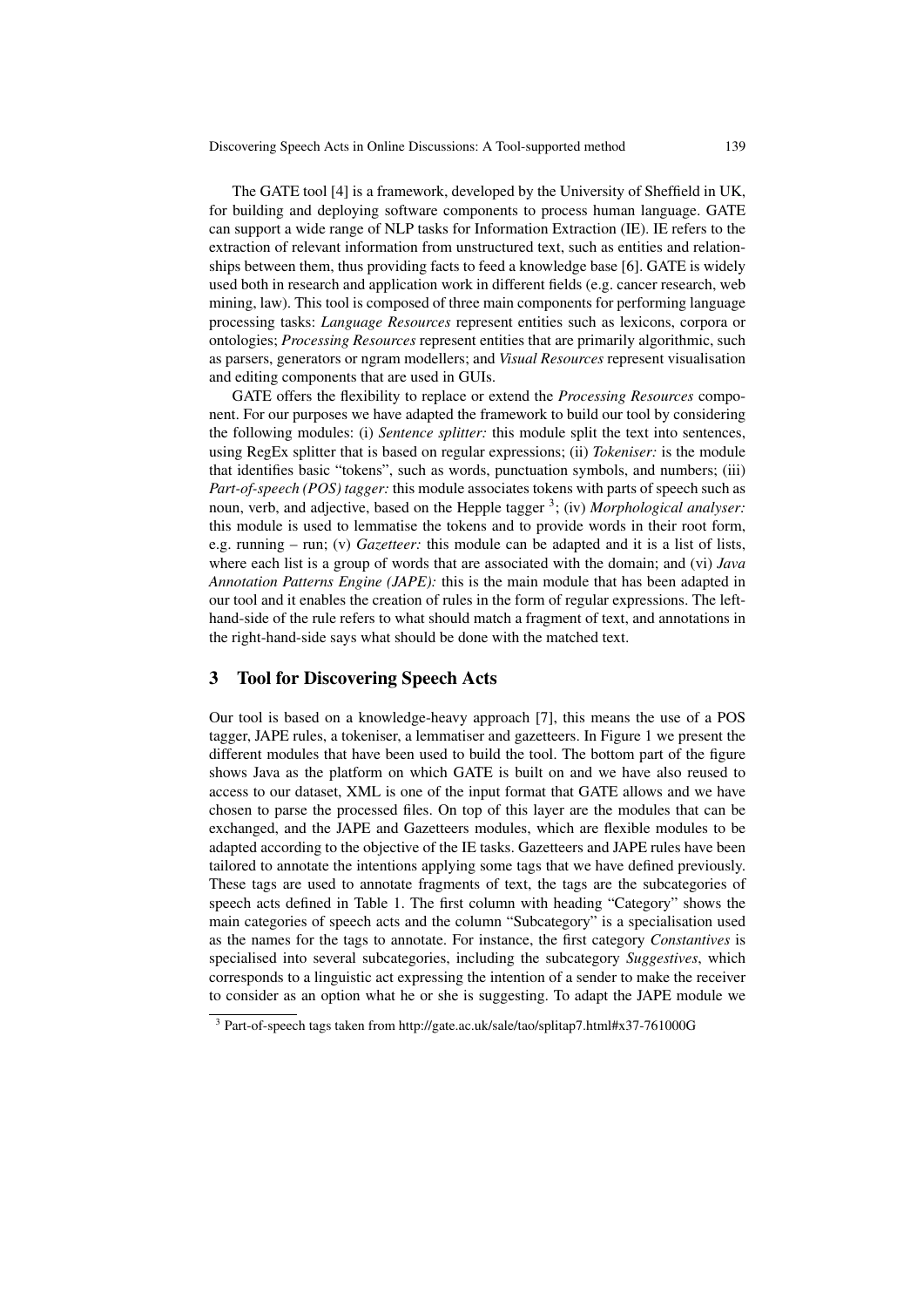Discovering Speech Acts in Online Discussions: A Tool-supported method 139

The GATE tool [4] is a framework, developed by the University of Sheffield in UK, for building and deploying software components to process human language. GATE can support a wide range of NLP tasks for Information Extraction (IE). IE refers to the extraction of relevant information from unstructured text, such as entities and relationships between them, thus providing facts to feed a knowledge base [6]. GATE is widely used both in research and application work in different fields (e.g. cancer research, web mining, law). This tool is composed of three main components for performing language processing tasks: *Language Resources* represent entities such as lexicons, corpora or ontologies; *Processing Resources* represent entities that are primarily algorithmic, such as parsers, generators or ngram modellers; and *Visual Resources* represent visualisation and editing components that are used in GUIs.

GATE offers the flexibility to replace or extend the *Processing Resources* component. For our purposes we have adapted the framework to build our tool by considering the following modules: (i) *Sentence splitter:* this module split the text into sentences, using RegEx splitter that is based on regular expressions; (ii) *Tokeniser:* is the module that identifies basic "tokens", such as words, punctuation symbols, and numbers; (iii) *Part-of-speech (POS) tagger:* this module associates tokens with parts of speech such as noun, verb, and adjective, based on the Hepple tagger <sup>3</sup> ; (iv) *Morphological analyser:* this module is used to lemmatise the tokens and to provide words in their root form, e.g. running – run; (v) *Gazetteer:* this module can be adapted and it is a list of lists, where each list is a group of words that are associated with the domain; and (vi) *Java Annotation Patterns Engine (JAPE):* this is the main module that has been adapted in our tool and it enables the creation of rules in the form of regular expressions. The lefthand-side of the rule refers to what should match a fragment of text, and annotations in the right-hand-side says what should be done with the matched text.

#### 3 Tool for Discovering Speech Acts

Our tool is based on a knowledge-heavy approach [7], this means the use of a POS tagger, JAPE rules, a tokeniser, a lemmatiser and gazetteers. In Figure 1 we present the different modules that have been used to build the tool. The bottom part of the figure shows Java as the platform on which GATE is built on and we have also reused to access to our dataset, XML is one of the input format that GATE allows and we have chosen to parse the processed files. On top of this layer are the modules that can be exchanged, and the JAPE and Gazetteers modules, which are flexible modules to be adapted according to the objective of the IE tasks. Gazetteers and JAPE rules have been tailored to annotate the intentions applying some tags that we have defined previously. These tags are used to annotate fragments of text, the tags are the subcategories of speech acts defined in Table 1. The first column with heading "Category" shows the main categories of speech acts and the column "Subcategory" is a specialisation used as the names for the tags to annotate. For instance, the first category *Constantives* is specialised into several subcategories, including the subcategory *Suggestives*, which corresponds to a linguistic act expressing the intention of a sender to make the receiver to consider as an option what he or she is suggesting. To adapt the JAPE module we

<sup>3</sup> Part-of-speech tags taken from http://gate.ac.uk/sale/tao/splitap7.html#x37-761000G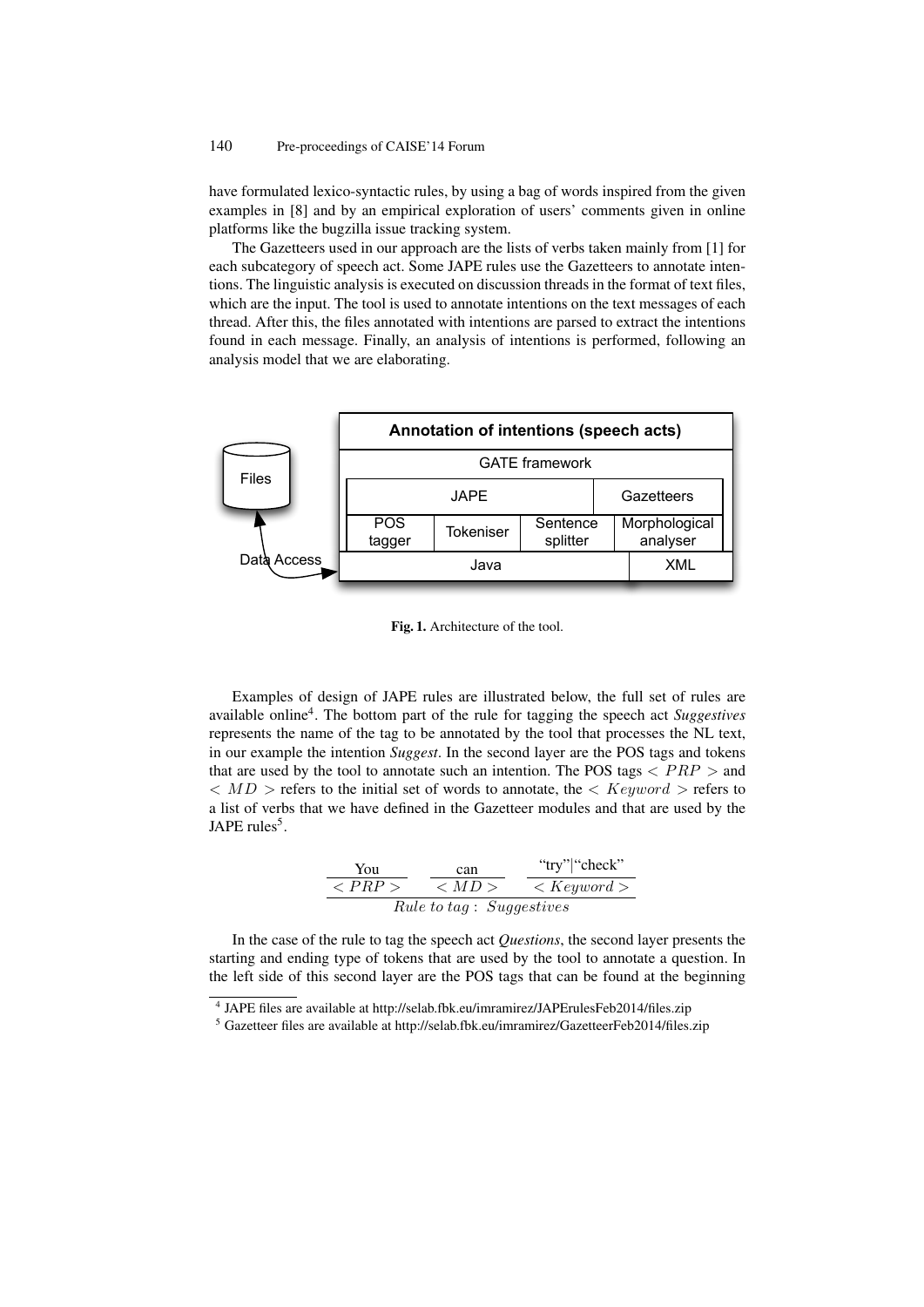have formulated lexico-syntactic rules, by using a bag of words inspired from the given examples in [8] and by an empirical exploration of users' comments given in online platforms like the bugzilla issue tracking system.

The Gazetteers used in our approach are the lists of verbs taken mainly from [1] for each subcategory of speech act. Some JAPE rules use the Gazetteers to annotate intentions. The linguistic analysis is executed on discussion threads in the format of text files, which are the input. The tool is used to annotate intentions on the text messages of each thread. After this, the files annotated with intentions are parsed to extract the intentions found in each message. Finally, an analysis of intentions is performed, following an analysis model that we are elaborating.



Fig. 1. Architecture of the tool.

Examples of design of JAPE rules are illustrated below, the full set of rules are available online<sup>4</sup>. The bottom part of the rule for tagging the speech act *Suggestives* represents the name of the tag to be annotated by the tool that processes the NL text, in our example the intention *Suggest*. In the second layer are the POS tags and tokens that are used by the tool to annotate such an intention. The POS tags  $\langle PRP \rangle$  and  $\langle M D \rangle$  refers to the initial set of words to annotate, the  $\langle Keyword \rangle$  refers to a list of verbs that we have defined in the Gazetteer modules and that are used by the JAPE rules<sup>5</sup>.

$$
\frac{\text{You}}{}\n\begin{array}{c}\n\text{can} & \text{``try''} \text{``check''} \\
\hline\n&  \n\end{array}
$$
\n
$$
\frac{\text{You}}{Rule\ to\ tag:\ Suggestives}
$$

In the case of the rule to tag the speech act *Questions*, the second layer presents the starting and ending type of tokens that are used by the tool to annotate a question. In the left side of this second layer are the POS tags that can be found at the beginning

<sup>4</sup> JAPE files are available at http://selab.fbk.eu/imramirez/JAPErulesFeb2014/files.zip

 $5$  Gazetteer files are available at http://selab.fbk.eu/imramirez/GazetteerFeb2014/files.zip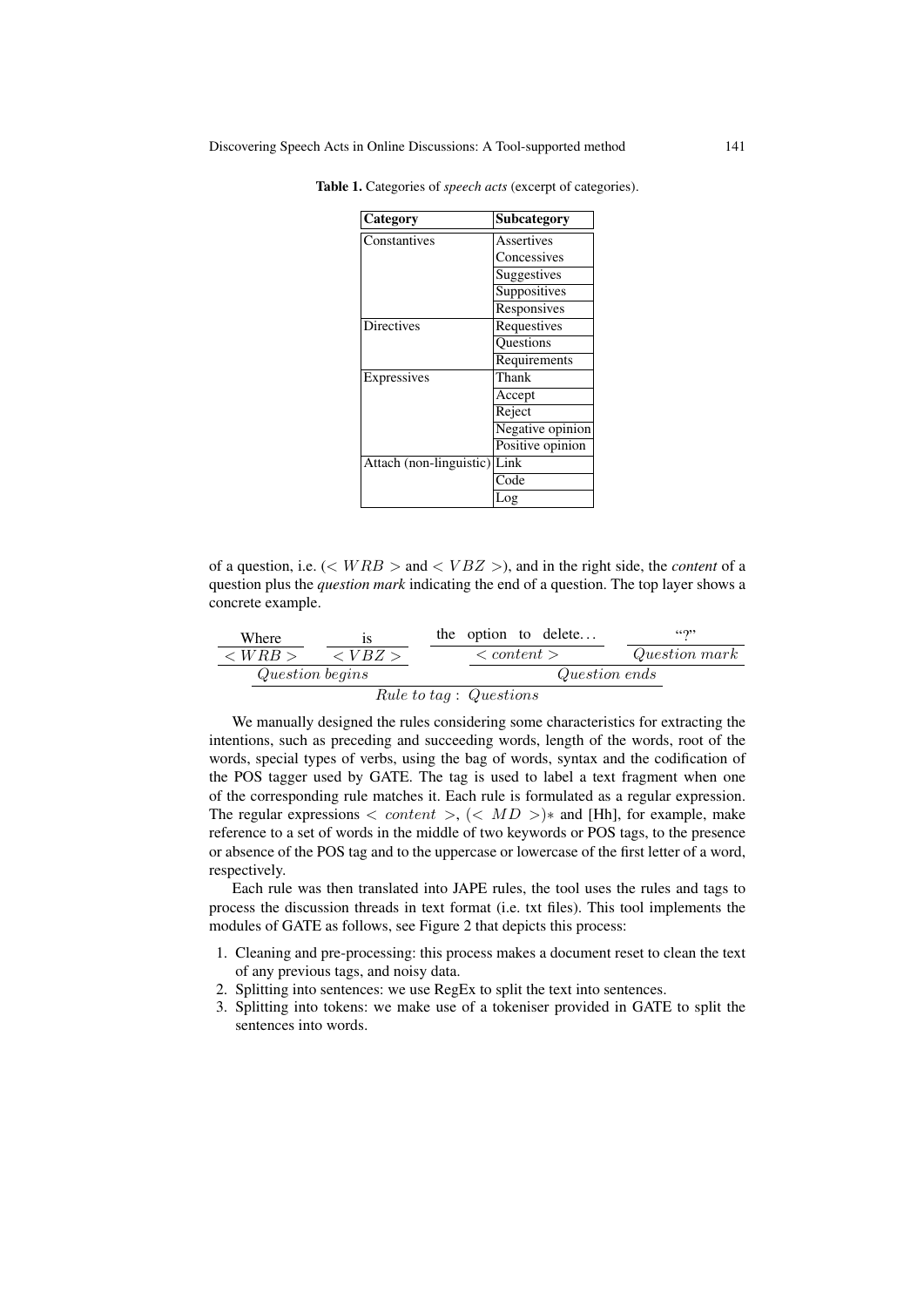| Category                | Subcategory      |
|-------------------------|------------------|
| Constantives            | Assertives       |
|                         | Concessives      |
|                         | Suggestives      |
|                         | Suppositives     |
|                         | Responsives      |
| <b>Directives</b>       | Requestives      |
|                         | Questions        |
|                         | Requirements     |
| Expressives             | Thank            |
|                         | Accept           |
|                         | Reject           |
|                         | Negative opinion |
|                         | Positive opinion |
| Attach (non-linguistic) | Link             |
|                         | Code             |
|                         | Log              |

Table 1. Categories of *speech acts* (excerpt of categories).

of a question, i.e.  $(< WRB >$  and  $< VBZ >$ ), and in the right side, the *content* of a question plus the *question mark* indicating the end of a question. The top layer shows a concrete example.

| Where                     | is                    | the option to delete...   | "?"             |
|---------------------------|-----------------------|---------------------------|-----------------|
| $\langle WRB \rangle$     | $\langle VBZ \rangle$ | $\langle content \rangle$ | $Question mark$ |
| $Question begins$         | $Question ends$       |                           |                 |
| $Rule to tag : Questions$ |                       |                           |                 |

We manually designed the rules considering some characteristics for extracting the intentions, such as preceding and succeeding words, length of the words, root of the words, special types of verbs, using the bag of words, syntax and the codification of the POS tagger used by GATE. The tag is used to label a text fragment when one of the corresponding rule matches it. Each rule is formulated as a regular expression. The regular expressions  $\langle$  content  $\rangle$ ,  $\langle$   $\langle$  MD  $\rangle$   $\rangle$  and [Hh], for example, make reference to a set of words in the middle of two keywords or POS tags, to the presence or absence of the POS tag and to the uppercase or lowercase of the first letter of a word, respectively.

Each rule was then translated into JAPE rules, the tool uses the rules and tags to process the discussion threads in text format (i.e. txt files). This tool implements the modules of GATE as follows, see Figure 2 that depicts this process:

- 1. Cleaning and pre-processing: this process makes a document reset to clean the text of any previous tags, and noisy data.
- 2. Splitting into sentences: we use RegEx to split the text into sentences.
- 3. Splitting into tokens: we make use of a tokeniser provided in GATE to split the sentences into words.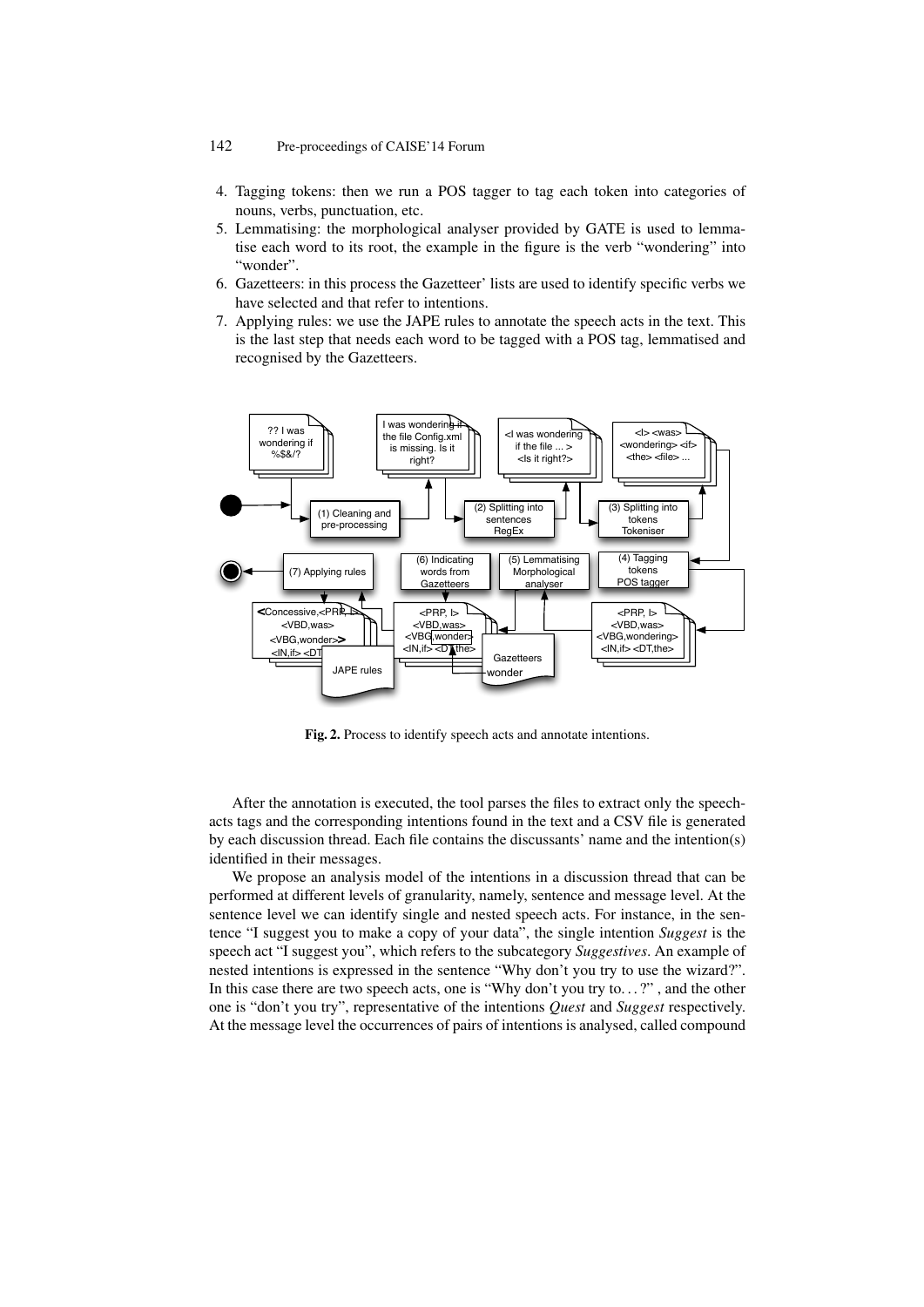- 4. Tagging tokens: then we run a POS tagger to tag each token into categories of nouns, verbs, punctuation, etc.
- 5. Lemmatising: the morphological analyser provided by GATE is used to lemmatise each word to its root, the example in the figure is the verb "wondering" into "wonder".
- 6. Gazetteers: in this process the Gazetteer' lists are used to identify specific verbs we have selected and that refer to intentions.
- 7. Applying rules: we use the JAPE rules to annotate the speech acts in the text. This is the last step that needs each word to be tagged with a POS tag, lemmatised and recognised by the Gazetteers.



Fig. 2. Process to identify speech acts and annotate intentions.

After the annotation is executed, the tool parses the files to extract only the speechacts tags and the corresponding intentions found in the text and a CSV file is generated by each discussion thread. Each file contains the discussants' name and the intention(s) identified in their messages.

We propose an analysis model of the intentions in a discussion thread that can be performed at different levels of granularity, namely, sentence and message level. At the sentence level we can identify single and nested speech acts. For instance, in the sentence "I suggest you to make a copy of your data", the single intention *Suggest* is the speech act "I suggest you", which refers to the subcategory *Suggestives*. An example of nested intentions is expressed in the sentence "Why don't you try to use the wizard?". In this case there are two speech acts, one is "Why don't you try to. . . ?" , and the other one is "don't you try", representative of the intentions *Quest* and *Suggest* respectively. At the message level the occurrences of pairs of intentions is analysed, called compound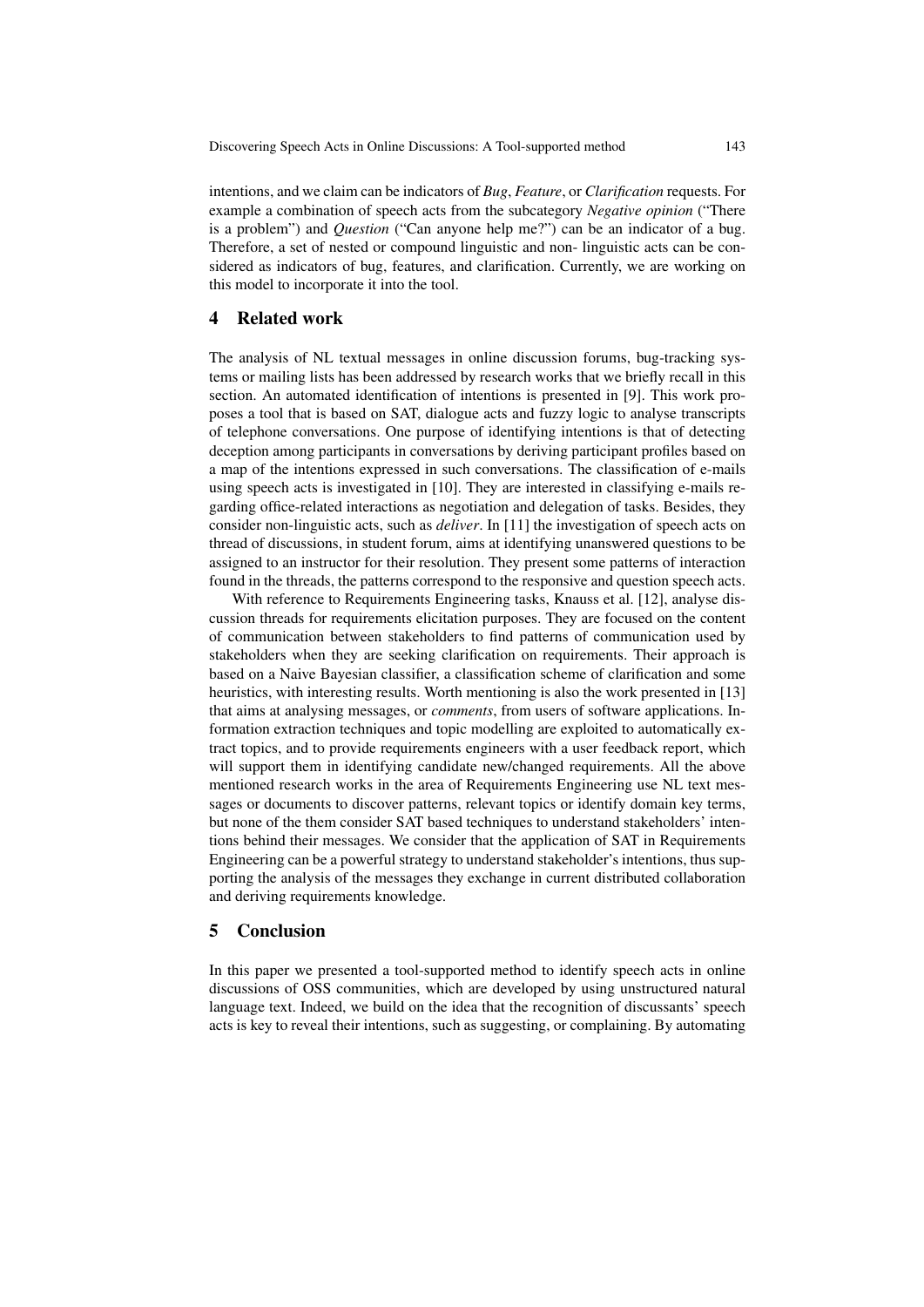Discovering Speech Acts in Online Discussions: A Tool-supported method 143

intentions, and we claim can be indicators of *Bug*, *Feature*, or *Clarification* requests. For example a combination of speech acts from the subcategory *Negative opinion* ("There is a problem") and *Question* ("Can anyone help me?") can be an indicator of a bug. Therefore, a set of nested or compound linguistic and non- linguistic acts can be considered as indicators of bug, features, and clarification. Currently, we are working on this model to incorporate it into the tool.

## 4 Related work

The analysis of NL textual messages in online discussion forums, bug-tracking systems or mailing lists has been addressed by research works that we briefly recall in this section. An automated identification of intentions is presented in [9]. This work proposes a tool that is based on SAT, dialogue acts and fuzzy logic to analyse transcripts of telephone conversations. One purpose of identifying intentions is that of detecting deception among participants in conversations by deriving participant profiles based on a map of the intentions expressed in such conversations. The classification of e-mails using speech acts is investigated in [10]. They are interested in classifying e-mails regarding office-related interactions as negotiation and delegation of tasks. Besides, they consider non-linguistic acts, such as *deliver*. In [11] the investigation of speech acts on thread of discussions, in student forum, aims at identifying unanswered questions to be assigned to an instructor for their resolution. They present some patterns of interaction found in the threads, the patterns correspond to the responsive and question speech acts.

With reference to Requirements Engineering tasks, Knauss et al. [12], analyse discussion threads for requirements elicitation purposes. They are focused on the content of communication between stakeholders to find patterns of communication used by stakeholders when they are seeking clarification on requirements. Their approach is based on a Naive Bayesian classifier, a classification scheme of clarification and some heuristics, with interesting results. Worth mentioning is also the work presented in [13] that aims at analysing messages, or *comments*, from users of software applications. Information extraction techniques and topic modelling are exploited to automatically extract topics, and to provide requirements engineers with a user feedback report, which will support them in identifying candidate new/changed requirements. All the above mentioned research works in the area of Requirements Engineering use NL text messages or documents to discover patterns, relevant topics or identify domain key terms, but none of the them consider SAT based techniques to understand stakeholders' intentions behind their messages. We consider that the application of SAT in Requirements Engineering can be a powerful strategy to understand stakeholder's intentions, thus supporting the analysis of the messages they exchange in current distributed collaboration and deriving requirements knowledge.

## 5 Conclusion

In this paper we presented a tool-supported method to identify speech acts in online discussions of OSS communities, which are developed by using unstructured natural language text. Indeed, we build on the idea that the recognition of discussants' speech acts is key to reveal their intentions, such as suggesting, or complaining. By automating